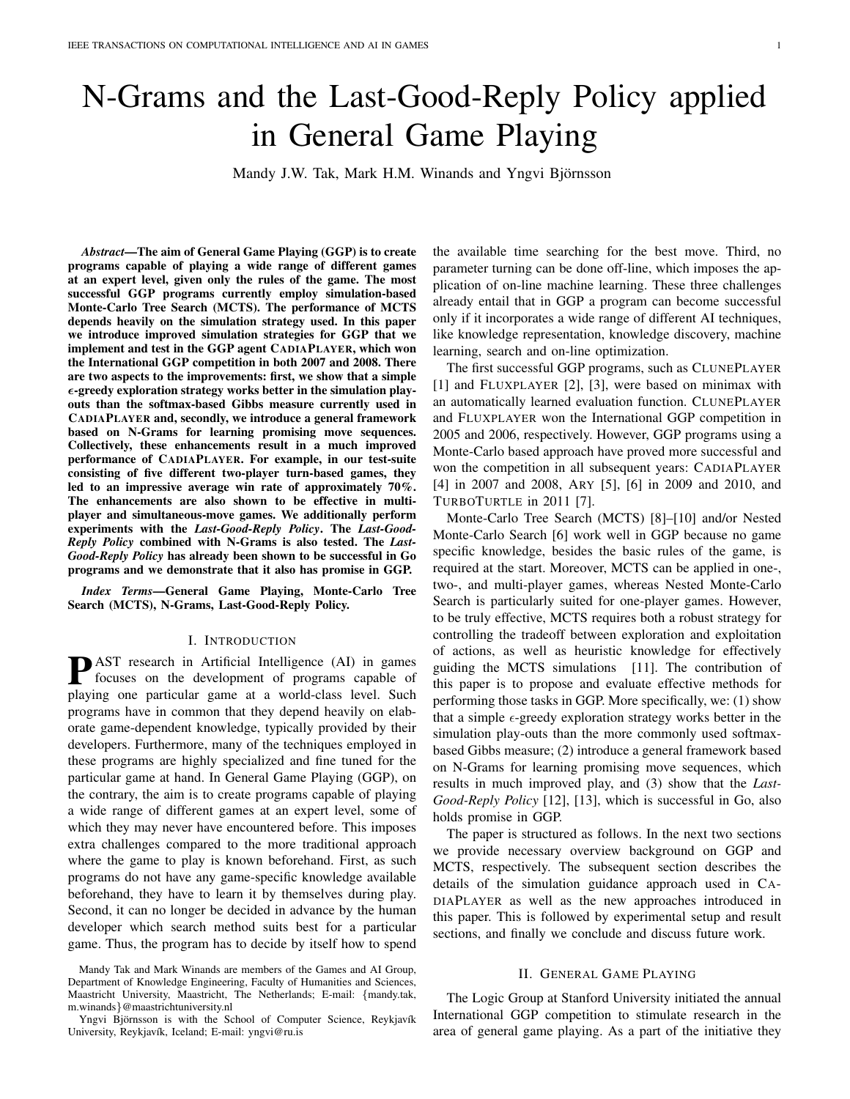# N-Grams and the Last-Good-Reply Policy applied in General Game Playing

Mandy J.W. Tak, Mark H.M. Winands and Yngvi Björnsson

*Abstract*—The aim of General Game Playing (GGP) is to create programs capable of playing a wide range of different games at an expert level, given only the rules of the game. The most successful GGP programs currently employ simulation-based Monte-Carlo Tree Search (MCTS). The performance of MCTS depends heavily on the simulation strategy used. In this paper we introduce improved simulation strategies for GGP that we implement and test in the GGP agent CADIAPLAYER, which won the International GGP competition in both 2007 and 2008. There are two aspects to the improvements: first, we show that a simple *ϵ*-greedy exploration strategy works better in the simulation playouts than the softmax-based Gibbs measure currently used in CADIAPLAYER and, secondly, we introduce a general framework based on N-Grams for learning promising move sequences. Collectively, these enhancements result in a much improved performance of CADIAPLAYER. For example, in our test-suite consisting of five different two-player turn-based games, they led to an impressive average win rate of approximately 70%. The enhancements are also shown to be effective in multiplayer and simultaneous-move games. We additionally perform experiments with the *Last-Good-Reply Policy*. The *Last-Good-Reply Policy* combined with N-Grams is also tested. The *Last-Good-Reply Policy* has already been shown to be successful in Go programs and we demonstrate that it also has promise in GGP.

*Index Terms*—General Game Playing, Monte-Carlo Tree Search (MCTS), N-Grams, Last-Good-Reply Policy.

## I. INTRODUCTION

**P**AST research in Artificial Intelligence (AI) in games<br>focuses on the development of programs capable of focuses on the development of programs capable of playing one particular game at a world-class level. Such programs have in common that they depend heavily on elaborate game-dependent knowledge, typically provided by their developers. Furthermore, many of the techniques employed in these programs are highly specialized and fine tuned for the particular game at hand. In General Game Playing (GGP), on the contrary, the aim is to create programs capable of playing a wide range of different games at an expert level, some of which they may never have encountered before. This imposes extra challenges compared to the more traditional approach where the game to play is known beforehand. First, as such programs do not have any game-specific knowledge available beforehand, they have to learn it by themselves during play. Second, it can no longer be decided in advance by the human developer which search method suits best for a particular game. Thus, the program has to decide by itself how to spend

Mandy Tak and Mark Winands are members of the Games and AI Group, Department of Knowledge Engineering, Faculty of Humanities and Sciences, Maastricht University, Maastricht, The Netherlands; E-mail: *{*mandy.tak, m.winands*}*@maastrichtuniversity.nl

Yngvi Björnsson is with the School of Computer Science, Reykjavík University, Reykjavík, Iceland; E-mail: yngvi@ru.is

the available time searching for the best move. Third, no parameter turning can be done off-line, which imposes the application of on-line machine learning. These three challenges already entail that in GGP a program can become successful only if it incorporates a wide range of different AI techniques, like knowledge representation, knowledge discovery, machine learning, search and on-line optimization.

The first successful GGP programs, such as CLUNEPLAYER [1] and FLUXPLAYER [2], [3], were based on minimax with an automatically learned evaluation function. CLUNEPLAYER and FLUXPLAYER won the International GGP competition in 2005 and 2006, respectively. However, GGP programs using a Monte-Carlo based approach have proved more successful and won the competition in all subsequent years: CADIAPLAYER [4] in 2007 and 2008, ARY [5], [6] in 2009 and 2010, and TURBOTURTLE in 2011 [7].

Monte-Carlo Tree Search (MCTS) [8]–[10] and/or Nested Monte-Carlo Search [6] work well in GGP because no game specific knowledge, besides the basic rules of the game, is required at the start. Moreover, MCTS can be applied in one-, two-, and multi-player games, whereas Nested Monte-Carlo Search is particularly suited for one-player games. However, to be truly effective, MCTS requires both a robust strategy for controlling the tradeoff between exploration and exploitation of actions, as well as heuristic knowledge for effectively guiding the MCTS simulations [11]. The contribution of this paper is to propose and evaluate effective methods for performing those tasks in GGP. More specifically, we: (1) show that a simple *ϵ*-greedy exploration strategy works better in the simulation play-outs than the more commonly used softmaxbased Gibbs measure; (2) introduce a general framework based on N-Grams for learning promising move sequences, which results in much improved play, and (3) show that the *Last-Good-Reply Policy* [12], [13], which is successful in Go, also holds promise in GGP.

The paper is structured as follows. In the next two sections we provide necessary overview background on GGP and MCTS, respectively. The subsequent section describes the details of the simulation guidance approach used in CA-DIAPLAYER as well as the new approaches introduced in this paper. This is followed by experimental setup and result sections, and finally we conclude and discuss future work.

#### II. GENERAL GAME PLAYING

The Logic Group at Stanford University initiated the annual International GGP competition to stimulate research in the area of general game playing. As a part of the initiative they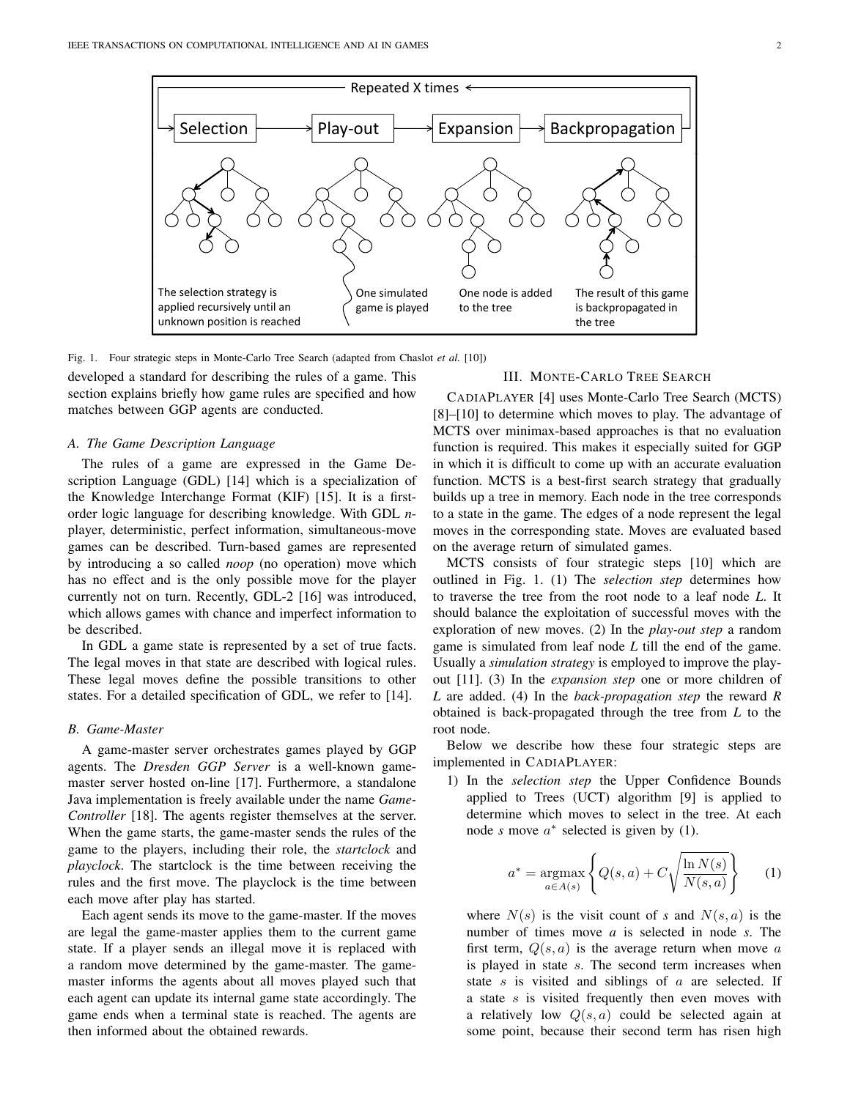

Fig. 1. Four strategic steps in Monte-Carlo Tree Search (adapted from Chaslot *et al.* [10])

developed a standard for describing the rules of a game. This section explains briefly how game rules are specified and how matches between GGP agents are conducted.

# *A. The Game Description Language*

The rules of a game are expressed in the Game Description Language (GDL) [14] which is a specialization of the Knowledge Interchange Format (KIF) [15]. It is a firstorder logic language for describing knowledge. With GDL *n*player, deterministic, perfect information, simultaneous-move games can be described. Turn-based games are represented by introducing a so called *noop* (no operation) move which has no effect and is the only possible move for the player currently not on turn. Recently, GDL-2 [16] was introduced, which allows games with chance and imperfect information to be described.

In GDL a game state is represented by a set of true facts. The legal moves in that state are described with logical rules. These legal moves define the possible transitions to other states. For a detailed specification of GDL, we refer to [14].

## *B. Game-Master*

A game-master server orchestrates games played by GGP agents. The *Dresden GGP Server* is a well-known gamemaster server hosted on-line [17]. Furthermore, a standalone Java implementation is freely available under the name *Game-Controller* [18]. The agents register themselves at the server. When the game starts, the game-master sends the rules of the game to the players, including their role, the *startclock* and *playclock*. The startclock is the time between receiving the rules and the first move. The playclock is the time between each move after play has started.

Each agent sends its move to the game-master. If the moves are legal the game-master applies them to the current game state. If a player sends an illegal move it is replaced with a random move determined by the game-master. The gamemaster informs the agents about all moves played such that each agent can update its internal game state accordingly. The game ends when a terminal state is reached. The agents are then informed about the obtained rewards.

## III. MONTE-CARLO TREE SEARCH

CADIAPLAYER [4] uses Monte-Carlo Tree Search (MCTS) [8]–[10] to determine which moves to play. The advantage of MCTS over minimax-based approaches is that no evaluation function is required. This makes it especially suited for GGP in which it is difficult to come up with an accurate evaluation function. MCTS is a best-first search strategy that gradually builds up a tree in memory. Each node in the tree corresponds to a state in the game. The edges of a node represent the legal moves in the corresponding state. Moves are evaluated based on the average return of simulated games.

MCTS consists of four strategic steps [10] which are outlined in Fig. 1. (1) The *selection step* determines how to traverse the tree from the root node to a leaf node *L*. It should balance the exploitation of successful moves with the exploration of new moves. (2) In the *play-out step* a random game is simulated from leaf node *L* till the end of the game. Usually a *simulation strategy* is employed to improve the playout [11]. (3) In the *expansion step* one or more children of *L* are added. (4) In the *back-propagation step* the reward *R* obtained is back-propagated through the tree from *L* to the root node.

Below we describe how these four strategic steps are implemented in CADIAPLAYER:

1) In the *selection step* the Upper Confidence Bounds applied to Trees (UCT) algorithm [9] is applied to determine which moves to select in the tree. At each node *s* move  $a^*$  selected is given by (1).

$$
a^* = \underset{a \in A(s)}{\operatorname{argmax}} \left\{ Q(s, a) + C \sqrt{\frac{\ln N(s)}{N(s, a)}} \right\} \qquad (1)
$$

where  $N(s)$  is the visit count of *s* and  $N(s, a)$  is the number of times move *a* is selected in node *s*. The first term, *Q*(*s, a*) is the average return when move *a* is played in state *s*. The second term increases when state *s* is visited and siblings of *a* are selected. If a state *s* is visited frequently then even moves with a relatively low *Q*(*s, a*) could be selected again at some point, because their second term has risen high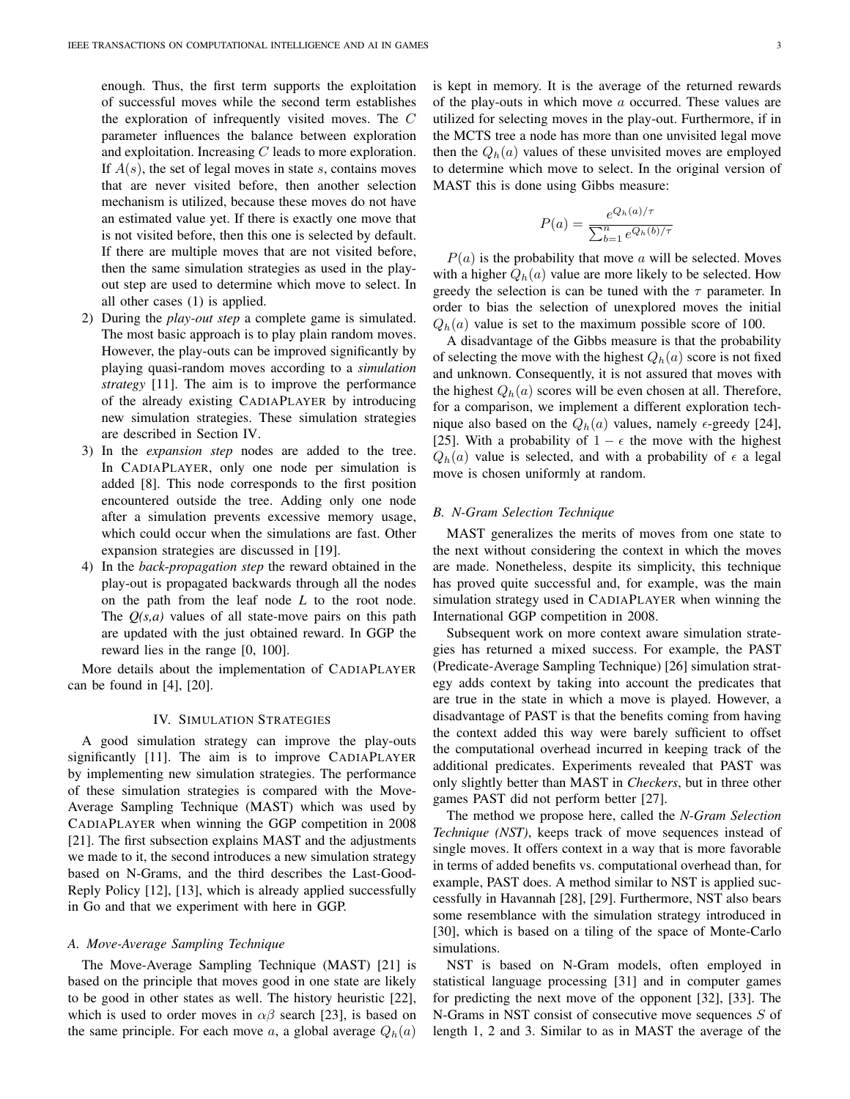enough. Thus, the first term supports the exploitation of successful moves while the second term establishes the exploration of infrequently visited moves. The *C* parameter influences the balance between exploration and exploitation. Increasing *C* leads to more exploration. If *A*(*s*), the set of legal moves in state *s*, contains moves that are never visited before, then another selection mechanism is utilized, because these moves do not have an estimated value yet. If there is exactly one move that is not visited before, then this one is selected by default. If there are multiple moves that are not visited before, then the same simulation strategies as used in the playout step are used to determine which move to select. In all other cases (1) is applied.

- 2) During the *play-out step* a complete game is simulated. The most basic approach is to play plain random moves. However, the play-outs can be improved significantly by playing quasi-random moves according to a *simulation strategy* [11]. The aim is to improve the performance of the already existing CADIAPLAYER by introducing new simulation strategies. These simulation strategies are described in Section IV.
- 3) In the *expansion step* nodes are added to the tree. In CADIAPLAYER, only one node per simulation is added [8]. This node corresponds to the first position encountered outside the tree. Adding only one node after a simulation prevents excessive memory usage, which could occur when the simulations are fast. Other expansion strategies are discussed in [19].
- 4) In the *back-propagation step* the reward obtained in the play-out is propagated backwards through all the nodes on the path from the leaf node *L* to the root node. The  $Q(s,a)$  values of all state-move pairs on this path are updated with the just obtained reward. In GGP the reward lies in the range [0, 100].

More details about the implementation of CADIAPLAYER can be found in [4], [20].

#### IV. SIMULATION STRATEGIES

A good simulation strategy can improve the play-outs significantly [11]. The aim is to improve CADIAPLAYER by implementing new simulation strategies. The performance of these simulation strategies is compared with the Move-Average Sampling Technique (MAST) which was used by CADIAPLAYER when winning the GGP competition in 2008 [21]. The first subsection explains MAST and the adjustments we made to it, the second introduces a new simulation strategy based on N-Grams, and the third describes the Last-Good-Reply Policy [12], [13], which is already applied successfully in Go and that we experiment with here in GGP.

## *A. Move-Average Sampling Technique*

The Move-Average Sampling Technique (MAST) [21] is based on the principle that moves good in one state are likely to be good in other states as well. The history heuristic [22], which is used to order moves in  $\alpha\beta$  search [23], is based on the same principle. For each move *a*, a global average  $Q_h(a)$  is kept in memory. It is the average of the returned rewards of the play-outs in which move *a* occurred. These values are utilized for selecting moves in the play-out. Furthermore, if in the MCTS tree a node has more than one unvisited legal move then the  $Q_h(a)$  values of these unvisited moves are employed to determine which move to select. In the original version of MAST this is done using Gibbs measure:

$$
P(a) = \frac{e^{Q_h(a)/\tau}}{\sum_{b=1}^n e^{Q_h(b)/\tau}}
$$

 $P(a)$  is the probability that move *a* will be selected. Moves with a higher  $Q_h(a)$  value are more likely to be selected. How greedy the selection is can be tuned with the *τ* parameter. In order to bias the selection of unexplored moves the initial  $Q_h(a)$  value is set to the maximum possible score of 100.

A disadvantage of the Gibbs measure is that the probability of selecting the move with the highest  $Q_h(a)$  score is not fixed and unknown. Consequently, it is not assured that moves with the highest  $Q_h(a)$  scores will be even chosen at all. Therefore, for a comparison, we implement a different exploration technique also based on the  $Q_h(a)$  values, namely  $\epsilon$ -greedy [24], [25]. With a probability of  $1 - \epsilon$  the move with the highest  $Q_h(a)$  value is selected, and with a probability of  $\epsilon$  a legal move is chosen uniformly at random.

# *B. N-Gram Selection Technique*

MAST generalizes the merits of moves from one state to the next without considering the context in which the moves are made. Nonetheless, despite its simplicity, this technique has proved quite successful and, for example, was the main simulation strategy used in CADIAPLAYER when winning the International GGP competition in 2008.

Subsequent work on more context aware simulation strategies has returned a mixed success. For example, the PAST (Predicate-Average Sampling Technique) [26] simulation strategy adds context by taking into account the predicates that are true in the state in which a move is played. However, a disadvantage of PAST is that the benefits coming from having the context added this way were barely sufficient to offset the computational overhead incurred in keeping track of the additional predicates. Experiments revealed that PAST was only slightly better than MAST in *Checkers*, but in three other games PAST did not perform better [27].

The method we propose here, called the *N-Gram Selection Technique (NST)*, keeps track of move sequences instead of single moves. It offers context in a way that is more favorable in terms of added benefits vs. computational overhead than, for example, PAST does. A method similar to NST is applied successfully in Havannah [28], [29]. Furthermore, NST also bears some resemblance with the simulation strategy introduced in [30], which is based on a tiling of the space of Monte-Carlo simulations.

NST is based on N-Gram models, often employed in statistical language processing [31] and in computer games for predicting the next move of the opponent [32], [33]. The N-Grams in NST consist of consecutive move sequences *S* of length 1, 2 and 3. Similar to as in MAST the average of the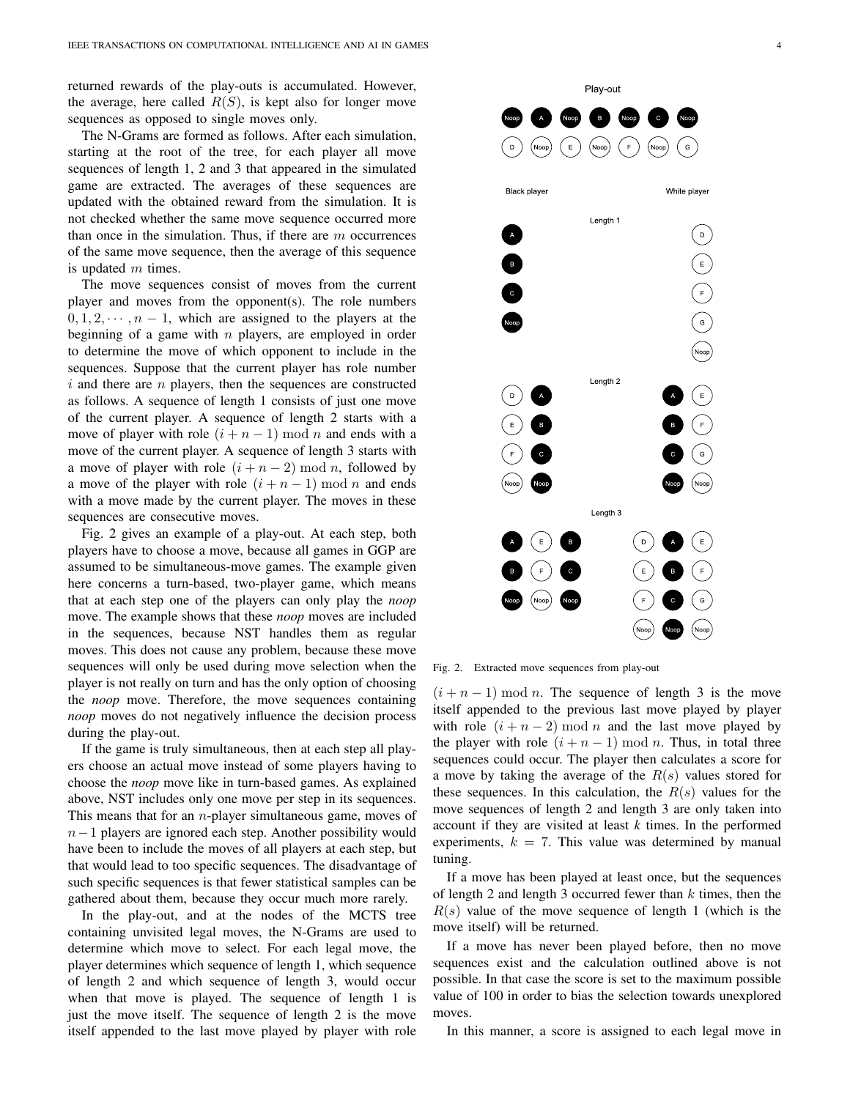returned rewards of the play-outs is accumulated. However, the average, here called  $R(S)$ , is kept also for longer move sequences as opposed to single moves only.

The N-Grams are formed as follows. After each simulation, starting at the root of the tree, for each player all move sequences of length 1, 2 and 3 that appeared in the simulated game are extracted. The averages of these sequences are updated with the obtained reward from the simulation. It is not checked whether the same move sequence occurred more than once in the simulation. Thus, if there are *m* occurrences of the same move sequence, then the average of this sequence is updated *m* times.

The move sequences consist of moves from the current player and moves from the opponent(s). The role numbers  $0, 1, 2, \cdots, n-1$ , which are assigned to the players at the beginning of a game with *n* players, are employed in order to determine the move of which opponent to include in the sequences. Suppose that the current player has role number *i* and there are *n* players, then the sequences are constructed as follows. A sequence of length 1 consists of just one move of the current player. A sequence of length 2 starts with a move of player with role  $(i + n - 1) \text{ mod } n$  and ends with a move of the current player. A sequence of length 3 starts with a move of player with role  $(i + n - 2) \mod n$ , followed by a move of the player with role  $(i + n - 1) \text{ mod } n$  and ends with a move made by the current player. The moves in these sequences are consecutive moves.

Fig. 2 gives an example of a play-out. At each step, both players have to choose a move, because all games in GGP are assumed to be simultaneous-move games. The example given here concerns a turn-based, two-player game, which means that at each step one of the players can only play the *noop* move. The example shows that these *noop* moves are included in the sequences, because NST handles them as regular moves. This does not cause any problem, because these move sequences will only be used during move selection when the player is not really on turn and has the only option of choosing the *noop* move. Therefore, the move sequences containing *noop* moves do not negatively influence the decision process during the play-out.

If the game is truly simultaneous, then at each step all players choose an actual move instead of some players having to choose the *noop* move like in turn-based games. As explained above, NST includes only one move per step in its sequences. This means that for an *n*-player simultaneous game, moves of *n*<sup>−1</sup> players are ignored each step. Another possibility would have been to include the moves of all players at each step, but that would lead to too specific sequences. The disadvantage of such specific sequences is that fewer statistical samples can be gathered about them, because they occur much more rarely.

In the play-out, and at the nodes of the MCTS tree containing unvisited legal moves, the N-Grams are used to determine which move to select. For each legal move, the player determines which sequence of length 1, which sequence of length 2 and which sequence of length 3, would occur when that move is played. The sequence of length 1 is just the move itself. The sequence of length 2 is the move itself appended to the last move played by player with role



Fig. 2. Extracted move sequences from play-out

 $(i + n - 1)$  mod *n*. The sequence of length 3 is the move itself appended to the previous last move played by player with role  $(i + n - 2) \mod n$  and the last move played by the player with role  $(i + n - 1) \mod n$ . Thus, in total three sequences could occur. The player then calculates a score for a move by taking the average of the *R*(*s*) values stored for these sequences. In this calculation, the  $R(s)$  values for the move sequences of length 2 and length 3 are only taken into account if they are visited at least *k* times. In the performed experiments,  $k = 7$ . This value was determined by manual tuning.

If a move has been played at least once, but the sequences of length 2 and length 3 occurred fewer than *k* times, then the *R*(*s*) value of the move sequence of length 1 (which is the move itself) will be returned.

If a move has never been played before, then no move sequences exist and the calculation outlined above is not possible. In that case the score is set to the maximum possible value of 100 in order to bias the selection towards unexplored moves.

In this manner, a score is assigned to each legal move in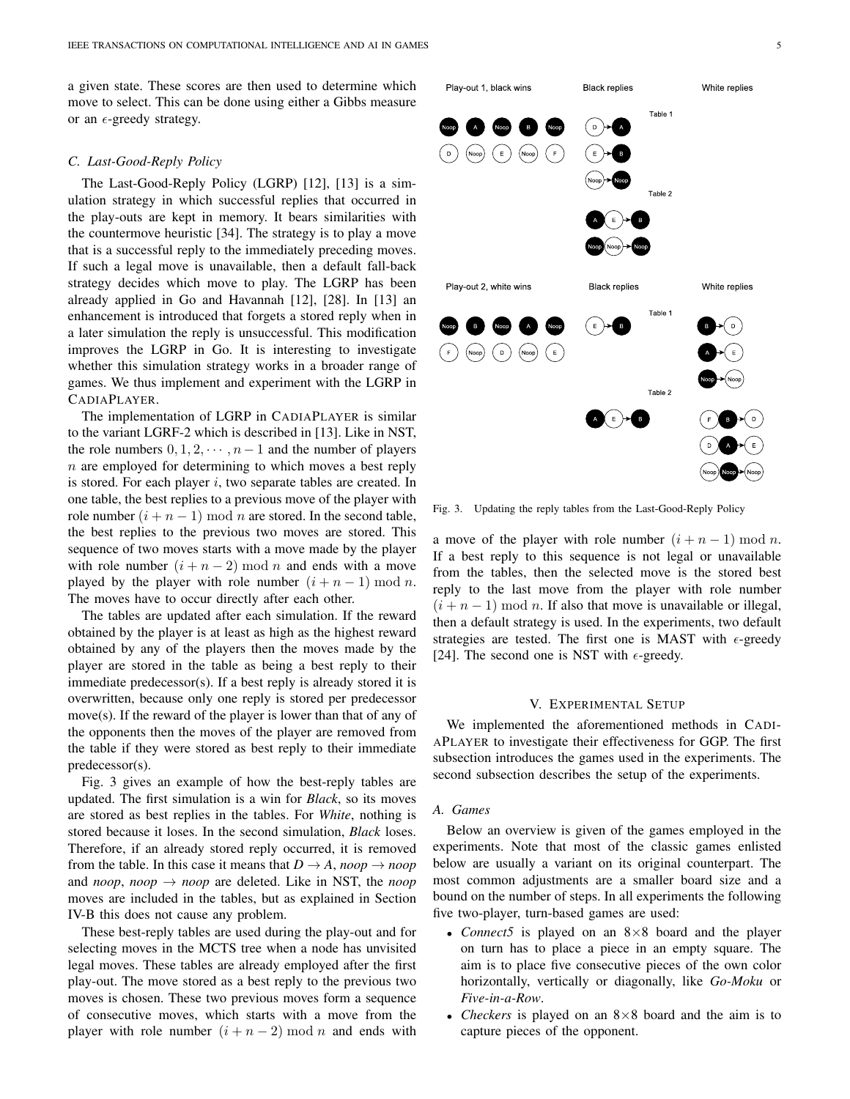a given state. These scores are then used to determine which move to select. This can be done using either a Gibbs measure or an *ϵ*-greedy strategy.

# *C. Last-Good-Reply Policy*

The Last-Good-Reply Policy (LGRP) [12], [13] is a simulation strategy in which successful replies that occurred in the play-outs are kept in memory. It bears similarities with the countermove heuristic [34]. The strategy is to play a move that is a successful reply to the immediately preceding moves. If such a legal move is unavailable, then a default fall-back strategy decides which move to play. The LGRP has been already applied in Go and Havannah [12], [28]. In [13] an enhancement is introduced that forgets a stored reply when in a later simulation the reply is unsuccessful. This modification improves the LGRP in Go. It is interesting to investigate whether this simulation strategy works in a broader range of games. We thus implement and experiment with the LGRP in CADIAPLAYER.

The implementation of LGRP in CADIAPLAYER is similar to the variant LGRF-2 which is described in [13]. Like in NST, the role numbers  $0, 1, 2, \cdots, n-1$  and the number of players *n* are employed for determining to which moves a best reply is stored. For each player *i*, two separate tables are created. In one table, the best replies to a previous move of the player with role number  $(i + n - 1)$  mod *n* are stored. In the second table, the best replies to the previous two moves are stored. This sequence of two moves starts with a move made by the player with role number  $(i + n - 2) \text{ mod } n$  and ends with a move played by the player with role number  $(i + n - 1) \text{ mod } n$ . The moves have to occur directly after each other.

The tables are updated after each simulation. If the reward obtained by the player is at least as high as the highest reward obtained by any of the players then the moves made by the player are stored in the table as being a best reply to their immediate predecessor(s). If a best reply is already stored it is overwritten, because only one reply is stored per predecessor move(s). If the reward of the player is lower than that of any of the opponents then the moves of the player are removed from the table if they were stored as best reply to their immediate predecessor(s).

Fig. 3 gives an example of how the best-reply tables are updated. The first simulation is a win for *Black*, so its moves are stored as best replies in the tables. For *White*, nothing is stored because it loses. In the second simulation, *Black* loses. Therefore, if an already stored reply occurred, it is removed from the table. In this case it means that  $D \rightarrow A$ , *noop*  $\rightarrow$  *noop* and *noop*, *noop*  $\rightarrow$  *noop* are deleted. Like in NST, the *noop* moves are included in the tables, but as explained in Section IV-B this does not cause any problem.

These best-reply tables are used during the play-out and for selecting moves in the MCTS tree when a node has unvisited legal moves. These tables are already employed after the first play-out. The move stored as a best reply to the previous two moves is chosen. These two previous moves form a sequence of consecutive moves, which starts with a move from the player with role number  $(i + n - 2) \text{ mod } n$  and ends with



Fig. 3. Updating the reply tables from the Last-Good-Reply Policy

a move of the player with role number  $(i + n - 1) \mod n$ . If a best reply to this sequence is not legal or unavailable from the tables, then the selected move is the stored best reply to the last move from the player with role number  $(i + n - 1) \mod n$ . If also that move is unavailable or illegal, then a default strategy is used. In the experiments, two default strategies are tested. The first one is MAST with *ϵ*-greedy [24]. The second one is NST with  $\epsilon$ -greedy.

#### V. EXPERIMENTAL SETUP

We implemented the aforementioned methods in CADI-APLAYER to investigate their effectiveness for GGP. The first subsection introduces the games used in the experiments. The second subsection describes the setup of the experiments.

#### *A. Games*

Below an overview is given of the games employed in the experiments. Note that most of the classic games enlisted below are usually a variant on its original counterpart. The most common adjustments are a smaller board size and a bound on the number of steps. In all experiments the following five two-player, turn-based games are used:

- *• Connect5* is played on an 8*×*8 board and the player on turn has to place a piece in an empty square. The aim is to place five consecutive pieces of the own color horizontally, vertically or diagonally, like *Go-Moku* or *Five-in-a-Row*.
- *• Checkers* is played on an 8*×*8 board and the aim is to capture pieces of the opponent.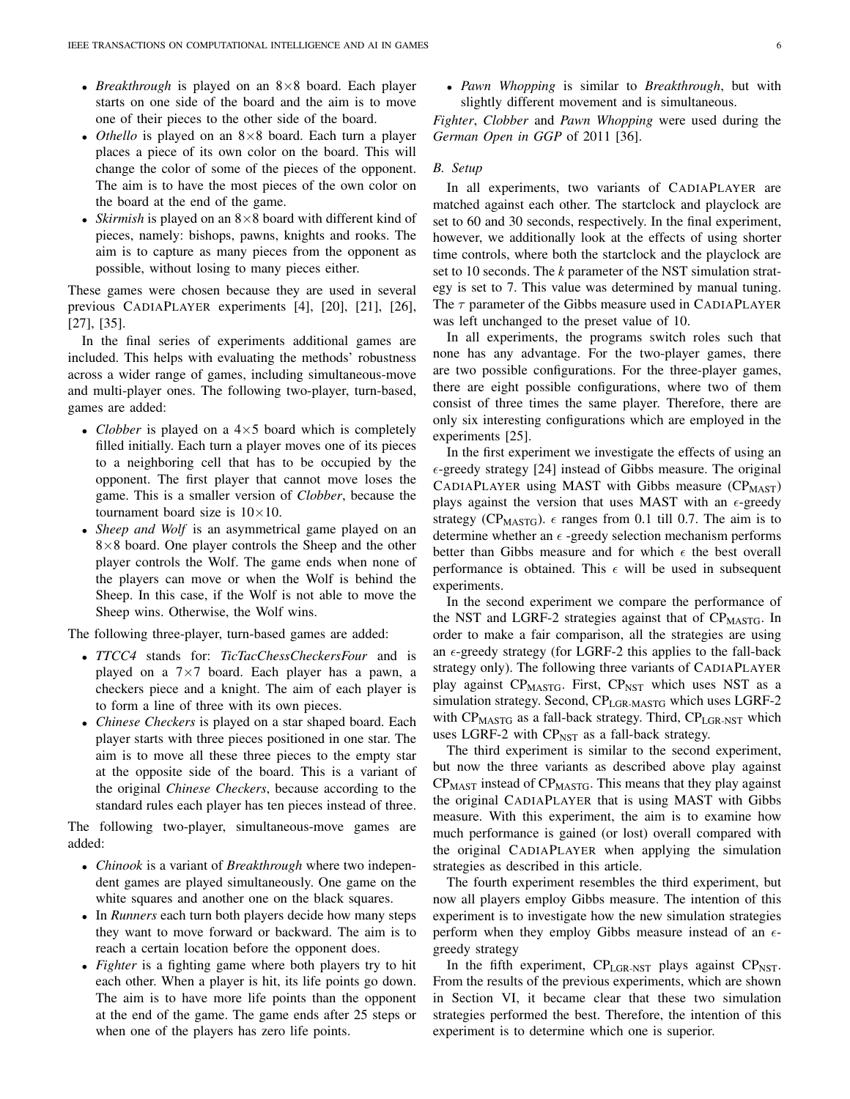- *• Breakthrough* is played on an 8*×*8 board. Each player starts on one side of the board and the aim is to move one of their pieces to the other side of the board.
- *• Othello* is played on an 8*×*8 board. Each turn a player places a piece of its own color on the board. This will change the color of some of the pieces of the opponent. The aim is to have the most pieces of the own color on the board at the end of the game.
- *• Skirmish* is played on an 8*×*8 board with different kind of pieces, namely: bishops, pawns, knights and rooks. The aim is to capture as many pieces from the opponent as possible, without losing to many pieces either.

These games were chosen because they are used in several previous CADIAPLAYER experiments [4], [20], [21], [26], [27], [35].

In the final series of experiments additional games are included. This helps with evaluating the methods' robustness across a wider range of games, including simultaneous-move and multi-player ones. The following two-player, turn-based, games are added:

- *• Clobber* is played on a 4*×*5 board which is completely filled initially. Each turn a player moves one of its pieces to a neighboring cell that has to be occupied by the opponent. The first player that cannot move loses the game. This is a smaller version of *Clobber*, because the tournament board size is 10*×*10.
- *• Sheep and Wolf* is an asymmetrical game played on an 8*×*8 board. One player controls the Sheep and the other player controls the Wolf. The game ends when none of the players can move or when the Wolf is behind the Sheep. In this case, if the Wolf is not able to move the Sheep wins. Otherwise, the Wolf wins.

The following three-player, turn-based games are added:

- *• TTCC4* stands for: *TicTacChessCheckersFour* and is played on a 7*×*7 board. Each player has a pawn, a checkers piece and a knight. The aim of each player is to form a line of three with its own pieces.
- *• Chinese Checkers* is played on a star shaped board. Each player starts with three pieces positioned in one star. The aim is to move all these three pieces to the empty star at the opposite side of the board. This is a variant of the original *Chinese Checkers*, because according to the standard rules each player has ten pieces instead of three.

The following two-player, simultaneous-move games are added:

- *• Chinook* is a variant of *Breakthrough* where two independent games are played simultaneously. One game on the white squares and another one on the black squares.
- *•* In *Runners* each turn both players decide how many steps they want to move forward or backward. The aim is to reach a certain location before the opponent does.
- *• Fighter* is a fighting game where both players try to hit each other. When a player is hit, its life points go down. The aim is to have more life points than the opponent at the end of the game. The game ends after 25 steps or when one of the players has zero life points.

*• Pawn Whopping* is similar to *Breakthrough*, but with slightly different movement and is simultaneous.

*Fighter*, *Clobber* and *Pawn Whopping* were used during the *German Open in GGP* of 2011 [36].

#### *B. Setup*

In all experiments, two variants of CADIAPLAYER are matched against each other. The startclock and playclock are set to 60 and 30 seconds, respectively. In the final experiment, however, we additionally look at the effects of using shorter time controls, where both the startclock and the playclock are set to 10 seconds. The *k* parameter of the NST simulation strategy is set to 7. This value was determined by manual tuning. The *τ* parameter of the Gibbs measure used in CADIAPLAYER was left unchanged to the preset value of 10.

In all experiments, the programs switch roles such that none has any advantage. For the two-player games, there are two possible configurations. For the three-player games, there are eight possible configurations, where two of them consist of three times the same player. Therefore, there are only six interesting configurations which are employed in the experiments [25].

In the first experiment we investigate the effects of using an *ϵ*-greedy strategy [24] instead of Gibbs measure. The original CADIAPLAYER using MAST with Gibbs measure  $(CP<sub>MAST</sub>)$ plays against the version that uses MAST with an *ϵ*-greedy strategy (CP<sub>MASTG</sub>).  $\epsilon$  ranges from 0.1 till 0.7. The aim is to determine whether an  $\epsilon$  -greedy selection mechanism performs better than Gibbs measure and for which  $\epsilon$  the best overall performance is obtained. This  $\epsilon$  will be used in subsequent experiments.

In the second experiment we compare the performance of the NST and LGRF-2 strategies against that of  $CP_{MAXTG}$ . In order to make a fair comparison, all the strategies are using an  $\epsilon$ -greedy strategy (for LGRF-2 this applies to the fall-back strategy only). The following three variants of CADIAPLAYER play against  $CP_{MASTG}$ . First,  $CP_{NST}$  which uses NST as a simulation strategy. Second, CP<sub>LGR-MASTG</sub> which uses LGRF-2 with  $CP_{MAXTG}$  as a fall-back strategy. Third,  $CP_{LGR-NST}$  which uses LGRF-2 with  $CP<sub>NST</sub>$  as a fall-back strategy.

The third experiment is similar to the second experiment, but now the three variants as described above play against  $CP<sub>MAST</sub>$  instead of  $CP<sub>MASTG</sub>$ . This means that they play against the original CADIAPLAYER that is using MAST with Gibbs measure. With this experiment, the aim is to examine how much performance is gained (or lost) overall compared with the original CADIAPLAYER when applying the simulation strategies as described in this article.

The fourth experiment resembles the third experiment, but now all players employ Gibbs measure. The intention of this experiment is to investigate how the new simulation strategies perform when they employ Gibbs measure instead of an *ϵ*greedy strategy

In the fifth experiment, CP<sub>LGR-NST</sub> plays against CP<sub>NST</sub>. From the results of the previous experiments, which are shown in Section VI, it became clear that these two simulation strategies performed the best. Therefore, the intention of this experiment is to determine which one is superior.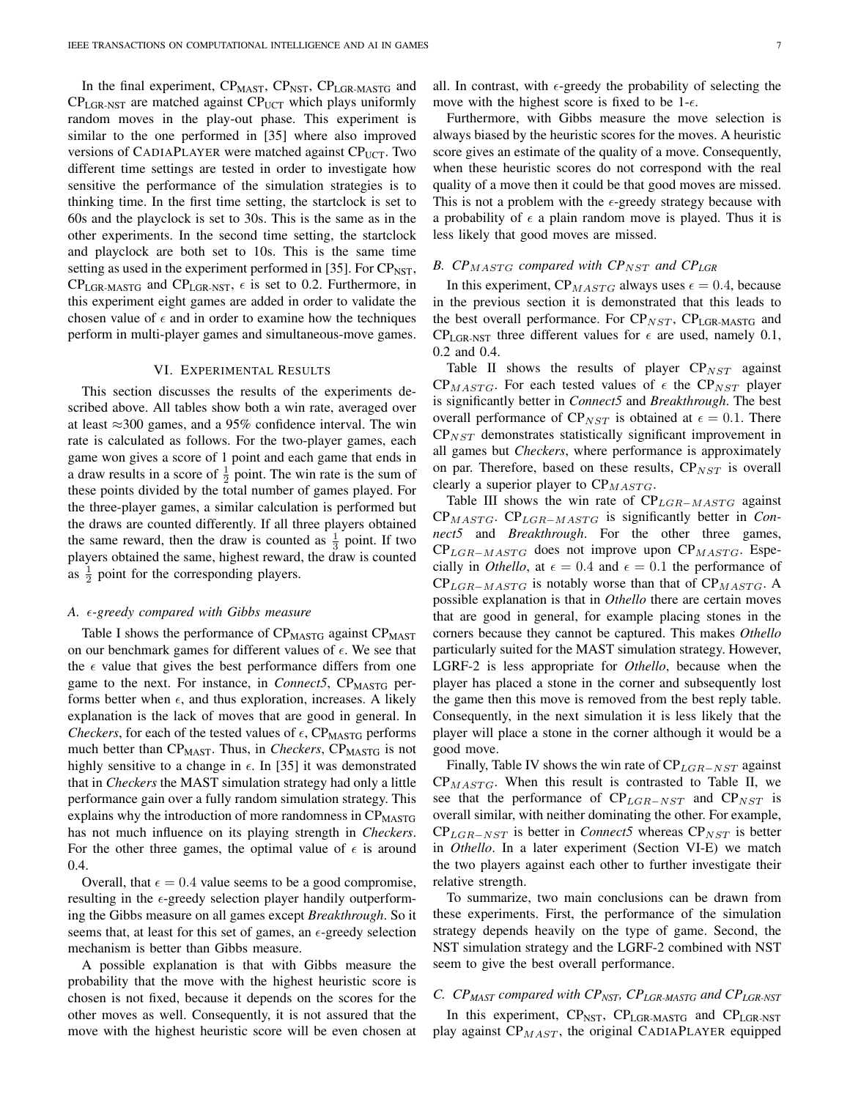In the final experiment,  $CP_{MAST}$ ,  $CP_{NST}$ ,  $CP_{LGR\text{-}MASTG}$  and  $CP_{LGR-NST}$  are matched against  $CP_{UCT}$  which plays uniformly random moves in the play-out phase. This experiment is similar to the one performed in [35] where also improved versions of CADIAPLAYER were matched against  $CP<sub>UCT</sub>$ . Two different time settings are tested in order to investigate how sensitive the performance of the simulation strategies is to thinking time. In the first time setting, the startclock is set to 60s and the playclock is set to 30s. This is the same as in the other experiments. In the second time setting, the startclock and playclock are both set to 10s. This is the same time setting as used in the experiment performed in [35]. For  $CP<sub>NST</sub>$ ,  $CP_{LGR\text{-}MASTG}$  and  $CP_{LGR\text{-}NST}$ ,  $\epsilon$  is set to 0.2. Furthermore, in this experiment eight games are added in order to validate the chosen value of  $\epsilon$  and in order to examine how the techniques perform in multi-player games and simultaneous-move games.

## VI. EXPERIMENTAL RESULTS

This section discusses the results of the experiments described above. All tables show both a win rate, averaged over at least *≈*300 games, and a 95% confidence interval. The win rate is calculated as follows. For the two-player games, each game won gives a score of 1 point and each game that ends in a draw results in a score of  $\frac{1}{2}$  point. The win rate is the sum of these points divided by the total number of games played. For the three-player games, a similar calculation is performed but the draws are counted differently. If all three players obtained the same reward, then the draw is counted as  $\frac{1}{3}$  point. If two players obtained the same, highest reward, the draw is counted as  $\frac{1}{2}$  point for the corresponding players.

## *A. ϵ-greedy compared with Gibbs measure*

Table I shows the performance of CP<sub>MASTG</sub> against CP<sub>MAST</sub> on our benchmark games for different values of *ϵ*. We see that the  $\epsilon$  value that gives the best performance differs from one game to the next. For instance, in *Connect5*, CP<sub>MASTG</sub> performs better when  $\epsilon$ , and thus exploration, increases. A likely explanation is the lack of moves that are good in general. In *Checkers*, for each of the tested values of  $\epsilon$ , CP<sub>MASTG</sub> performs much better than CP<sub>MAST</sub>. Thus, in *Checkers*, CP<sub>MASTG</sub> is not highly sensitive to a change in *ϵ*. In [35] it was demonstrated that in *Checkers* the MAST simulation strategy had only a little performance gain over a fully random simulation strategy. This explains why the introduction of more randomness in  $CP_{MAXTG}$ has not much influence on its playing strength in *Checkers*. For the other three games, the optimal value of  $\epsilon$  is around 0.4.

Overall, that  $\epsilon = 0.4$  value seems to be a good compromise, resulting in the *ϵ*-greedy selection player handily outperforming the Gibbs measure on all games except *Breakthrough*. So it seems that, at least for this set of games, an *ϵ*-greedy selection mechanism is better than Gibbs measure.

A possible explanation is that with Gibbs measure the probability that the move with the highest heuristic score is chosen is not fixed, because it depends on the scores for the other moves as well. Consequently, it is not assured that the move with the highest heuristic score will be even chosen at all. In contrast, with  $\epsilon$ -greedy the probability of selecting the move with the highest score is fixed to be  $1-\epsilon$ .

Furthermore, with Gibbs measure the move selection is always biased by the heuristic scores for the moves. A heuristic score gives an estimate of the quality of a move. Consequently, when these heuristic scores do not correspond with the real quality of a move then it could be that good moves are missed. This is not a problem with the *ϵ*-greedy strategy because with a probability of  $\epsilon$  a plain random move is played. Thus it is less likely that good moves are missed.

# *B.*  $CP_{MASTG}$  *compared with CP<sub>NST</sub>* and CP<sub>LGR</sub>

In this experiment,  $CP_{MASTG}$  always uses  $\epsilon = 0.4$ , because in the previous section it is demonstrated that this leads to the best overall performance. For CP<sub>NST</sub>, CP<sub>LGR-MASTG</sub> and CP<sub>LGR-NST</sub> three different values for  $\epsilon$  are used, namely 0.1, 0.2 and 0.4.

Table II shows the results of player CP*NST* against  $CP_{MASTG}$ . For each tested values of  $\epsilon$  the  $CP_{NST}$  player is significantly better in *Connect5* and *Breakthrough*. The best overall performance of  $CP_{NST}$  is obtained at  $\epsilon = 0.1$ . There CP*NST* demonstrates statistically significant improvement in all games but *Checkers*, where performance is approximately on par. Therefore, based on these results, CP<sub>NST</sub> is overall clearly a superior player to  $CP_{MASTG}$ .

Table III shows the win rate of CP*LGR−MAST G* against CP*MAST G*. CP*LGR−MAST G* is significantly better in *Connect5* and *Breakthrough*. For the other three games, CP<sub>LGR</sub><sup>−</sup>*MASTG* does not improve upon CP<sub>MASTG</sub>. Especially in *Othello*, at  $\epsilon = 0.4$  and  $\epsilon = 0.1$  the performance of CP<sub>LGR</sub><sup>−</sup>*MASTG* is notably worse than that of CP<sub>*MASTG*</sub>. A possible explanation is that in *Othello* there are certain moves that are good in general, for example placing stones in the corners because they cannot be captured. This makes *Othello* particularly suited for the MAST simulation strategy. However, LGRF-2 is less appropriate for *Othello*, because when the player has placed a stone in the corner and subsequently lost the game then this move is removed from the best reply table. Consequently, in the next simulation it is less likely that the player will place a stone in the corner although it would be a good move.

Finally, Table IV shows the win rate of CP*LGR−NST* against  $CP_{MASTG}$ . When this result is contrasted to Table II, we see that the performance of CP*LGR−NST* and CP*NST* is overall similar, with neither dominating the other. For example, CP*LGR−NST* is better in *Connect5* whereas CP*NST* is better in *Othello*. In a later experiment (Section VI-E) we match the two players against each other to further investigate their relative strength.

To summarize, two main conclusions can be drawn from these experiments. First, the performance of the simulation strategy depends heavily on the type of game. Second, the NST simulation strategy and the LGRF-2 combined with NST seem to give the best overall performance.

# *C. CPMAST compared with CPNST, CPLGR-MASTG and CPLGR-NST*

In this experiment, CP<sub>NST</sub>, CP<sub>LGR-MASTG</sub> and CP<sub>LGR-NST</sub> play against CP*MAST* , the original CADIAPLAYER equipped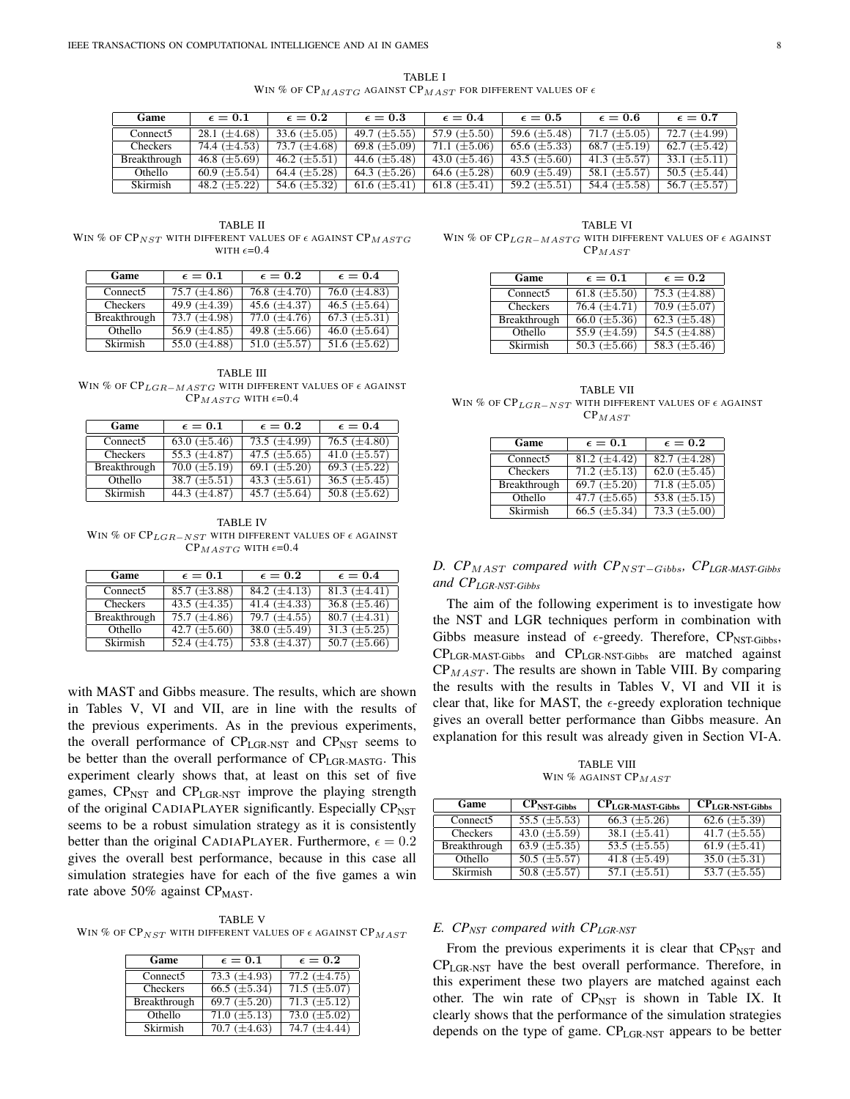| TABLE I                                                            |
|--------------------------------------------------------------------|
| WIN % OF CPMASTG AGAINST CPMAST FOR DIFFERENT VALUES OF $\epsilon$ |
|                                                                    |

| Game                 | $\epsilon=0.1$    | $\epsilon=0.2$    | $\epsilon=0.3$    | $\epsilon=0.4$    | $\epsilon=0.5$      | $\epsilon=0.6$    | $\epsilon=0.7$    |
|----------------------|-------------------|-------------------|-------------------|-------------------|---------------------|-------------------|-------------------|
| Connect <sub>5</sub> | 28.1 $(\pm 4.68)$ | 33.6 $(\pm 5.05)$ | 49.7 $(\pm 5.55)$ | 57.9 $(\pm 5.50)$ | 59.6 $(\pm 5.48)$   | 71.7 $(\pm 5.05)$ | 72.7 $(\pm 4.99)$ |
| Checkers             | 74.4 $(\pm 4.53)$ | 73.7 $(\pm 4.68)$ | 69.8 $(\pm 5.09)$ | 71.1 $(\pm 5.06)$ | 65.6 $(\pm 5.33)$   | 68.7 $(\pm 5.19)$ | 62.7 $(\pm 5.42)$ |
| Breakthrough         | 46.8 $(\pm 5.69)$ | 46.2 $(\pm 5.51)$ | 44.6 $(\pm 5.48)$ | 43.0 $(\pm 5.46)$ | 43.5 $(\pm 5.60)$   | 41.3 $(\pm 5.57)$ | 33.1 $(\pm 5.11)$ |
| Othello              | 60.9 $(\pm 5.54)$ | 64.4 $(\pm 5.28)$ | 64.3 $(\pm 5.26)$ | 64.6 $(\pm 5.28)$ | $60.9 \ (\pm 5.49)$ | 58.1 $(\pm 5.57)$ | 50.5 $(\pm 5.44)$ |
| Skirmish             | 48.2 $(\pm 5.22)$ | 54.6 $(\pm 5.32)$ | 61.6 $(\pm 5.41)$ | 61.8 $(\pm 5.41)$ | 59.2 $(\pm 5.51)$   | 54.4 $(\pm 5.58)$ | 56.7 $(\pm 5.57)$ |

TABLE II WIN % OF  $CP_{NST}$  with different values of  $\epsilon$  against  $CP_{MASTG}$ WITH *ϵ*=0.4

| Game                 | $\epsilon=0.1$    | $\epsilon=0.2$    | $\epsilon=0.4$    |
|----------------------|-------------------|-------------------|-------------------|
| Connect <sub>5</sub> | 75.7 $(\pm 4.86)$ | 76.8 $(\pm 4.70)$ | 76.0 $(\pm 4.83)$ |
| Checkers             | 49.9 $(\pm 4.39)$ | 45.6 $(\pm 4.37)$ | 46.5 $(\pm 5.64)$ |
| Breakthrough         | 73.7 $(\pm 4.98)$ | 77.0 $(\pm 4.76)$ | 67.3 $(\pm 5.31)$ |
| Othello              | 56.9 $(\pm 4.85)$ | 49.8 $(\pm 5.66)$ | 46.0 $(\pm 5.64)$ |
| <b>Skirmish</b>      | 55.0 $(\pm 4.88)$ | 51.0 $(\pm 5.57)$ | 51.6 $(\pm 5.62)$ |

TABLE III WIN % OF CP*LGR−MAST G* WITH DIFFERENT VALUES OF *ϵ* AGAINST  $CP_{MASTG}$  WITH  $\epsilon$ =0.4

| Game                 | $\epsilon=0.1$    | $\epsilon=0.2$    | $\epsilon=0.4$    |
|----------------------|-------------------|-------------------|-------------------|
| Connect <sub>5</sub> | 63.0 $(\pm 5.46)$ | $73.5 (\pm 4.99)$ | 76.5 $(\pm 4.80)$ |
| Checkers             | 55.3 $(\pm 4.87)$ | 47.5 $(\pm 5.65)$ | 41.0 $(\pm 5.57)$ |
| Breakthrough         | $70.0 (\pm 5.19)$ | 69.1 $(\pm 5.20)$ | 69.3 $(\pm 5.22)$ |
| Othello              | 38.7 $(\pm 5.51)$ | 43.3 $(\pm 5.61)$ | $36.5 (\pm 5.45)$ |
| Skirmish             | 44.3 $(\pm 4.87)$ | 45.7 $(\pm 5.64)$ | 50.8 $(\pm 5.62)$ |

TABLE IV WIN % OF CP*LGR−NST* WITH DIFFERENT VALUES OF *ϵ* AGAINST  $CP_{MASTG}$  WITH  $\epsilon$ =0.4

| Game                 | $\epsilon=0.1$    | $\epsilon=0.2$    | $\epsilon=0.4$    |
|----------------------|-------------------|-------------------|-------------------|
| Connect <sub>5</sub> | 85.7 $(\pm 3.88)$ | 84.2 $(\pm 4.13)$ | 81.3 $(\pm 4.41)$ |
| Checkers             | 43.5 $(\pm 4.35)$ | 41.4 $(\pm 4.33)$ | 36.8 $(\pm 5.46)$ |
| Breakthrough         | 75.7 $(\pm 4.86)$ | 79.7 $(\pm 4.55)$ | $80.7 (\pm 4.31)$ |
| Othello              | 42.7 $(\pm 5.60)$ | 38.0 $(\pm 5.49)$ | 31.3 $(\pm 5.25)$ |
| Skirmish             | 52.4 $(\pm 4.75)$ | 53.8 $(\pm 4.37)$ | 50.7 $(\pm 5.66)$ |

with MAST and Gibbs measure. The results, which are shown in Tables V, VI and VII, are in line with the results of the previous experiments. As in the previous experiments, the overall performance of  $CP_{LGR-NST}$  and  $CP_{NST}$  seems to be better than the overall performance of CP<sub>LGR-MASTG</sub>. This experiment clearly shows that, at least on this set of five games,  $CP_{\text{NST}}$  and  $CP_{\text{LGR-NST}}$  improve the playing strength of the original CADIAPLAYER significantly. Especially  $CP<sub>NST</sub>$ seems to be a robust simulation strategy as it is consistently better than the original CADIAPLAYER. Furthermore,  $\epsilon = 0.2$ gives the overall best performance, because in this case all simulation strategies have for each of the five games a win rate above 50% against  $CP_{\text{MAST}}$ .

TABLE V WIN % OF  $\text{CP}_{NST}$  with different values of  $\epsilon$  against  $\text{CP}_{MAST}$ 

| Game                 | $\epsilon=0.1$    | $\epsilon=0.2$      |
|----------------------|-------------------|---------------------|
| Connect <sub>5</sub> | 73.3 $(\pm 4.93)$ | 77.2 $(\pm 4.75)$   |
| Checkers             | 66.5 $(\pm 5.34)$ | $71.5 (\pm 5.07)$   |
| Breakthrough         | 69.7 $(\pm 5.20)$ | $71.3 \ (\pm 5.12)$ |
| Othello              | 71.0 $(\pm 5.13)$ | $73.0 (\pm 5.02)$   |
| Skirmish             | 70.7 $(\pm 4.63)$ | 74.7 $(\pm 4.44)$   |

TABLE VI WIN % OF CP<sub>LGR</sub><sup>−</sup>*MASTG* WITH DIFFERENT VALUES OF  $\epsilon$  AGAINST CP*MAST*

| Game                 | $\epsilon=0.1$      | $\epsilon=0.2$      |
|----------------------|---------------------|---------------------|
| Connect <sub>5</sub> | 61.8 $(\pm 5.50)$   | 75.3 $(\pm 4.88)$   |
| Checkers             | 76.4 $(\pm 4.71)$   | $70.9 \ (\pm 5.07)$ |
| Breakthrough         | 66.0 $(\pm 5.36)$   | $62.3 \ (\pm 5.48)$ |
| Othello              | 55.9 $(\pm 4.59)$   | 54.5 $(\pm 4.88)$   |
| Skirmish             | $50.3 \ (\pm 5.66)$ | 58.3 $(\pm 5.46)$   |

TABLE VII WIN % OF CP*LGR−NST* WITH DIFFERENT VALUES OF *ϵ* AGAINST CP*MAST*

| Game                 | $\epsilon=0.1$               | $\epsilon=0.2$    |
|----------------------|------------------------------|-------------------|
| Connect <sub>5</sub> | 81.2 $(\pm 4.42)$            | 82.7 $(\pm 4.28)$ |
| Checkers             | $71.2 (\pm 5.13)$            | 62.0 $(\pm 5.45)$ |
| Breakthrough         | 69.7 $(\pm 5.20)$            | 71.8 $(\pm 5.05)$ |
| Othello              | 47.7 $(\pm 5.65)$            | 53.8 $(\pm 5.15)$ |
| Skirmish             | $66.\overline{5 (\pm 5.34)}$ | 73.3 $(\pm 5.00)$ |

# *D. CPMAST compared with CPNST <sup>−</sup>Gibbs, CPLGR-MAST-Gibbs and CPLGR-NST-Gibbs*

The aim of the following experiment is to investigate how the NST and LGR techniques perform in combination with Gibbs measure instead of  $\epsilon$ -greedy. Therefore, CP<sub>NST-Gibbs</sub>, CPLGR-MAST-Gibbs and CPLGR-NST-Gibbs are matched against CP*MAST* . The results are shown in Table VIII. By comparing the results with the results in Tables V, VI and VII it is clear that, like for MAST, the  $\epsilon$ -greedy exploration technique gives an overall better performance than Gibbs measure. An explanation for this result was already given in Section VI-A.

TABLE VIII WIN % AGAINST CP*MAST*

| Game                 | $CP_{\rm{NST-Gibbs}}$ | $CP_{LGR\text{-}MAST-Gibbs}$ | $CP_{LGR\text{-}NST\text{-}Gibbs}$ |
|----------------------|-----------------------|------------------------------|------------------------------------|
| Connect <sub>5</sub> | 55.5 $(\pm 5.53)$     | 66.3 $(\pm 5.26)$            | 62.6 $(\pm 5.39)$                  |
| <b>Checkers</b>      | 43.0 $(\pm 5.59)$     | 38.1 $(\pm 5.41)$            | 41.7 $(\pm 5.55)$                  |
| Breakthrough         | 63.9 $(\pm 5.35)$     | 53.5 $(\pm 5.55)$            | $61.9 \ (\pm 5.41)$                |
| Othello              | $50.5 (\pm 5.57)$     | 41.8 $(\pm 5.49)$            | $35.0 (\pm 5.31)$                  |
| <b>Skirmish</b>      | $50.8 \ (\pm 5.57)$   | 57.1 $(\pm 5.51)$            | 53.7 $(\pm 5.55)$                  |

## *E. CPNST compared with CPLGR-NST*

From the previous experiments it is clear that  $CP<sub>NST</sub>$  and CPLGR-NST have the best overall performance. Therefore, in this experiment these two players are matched against each other. The win rate of  $CP<sub>NST</sub>$  is shown in Table IX. It clearly shows that the performance of the simulation strategies depends on the type of game.  $CP_{LGR-NST}$  appears to be better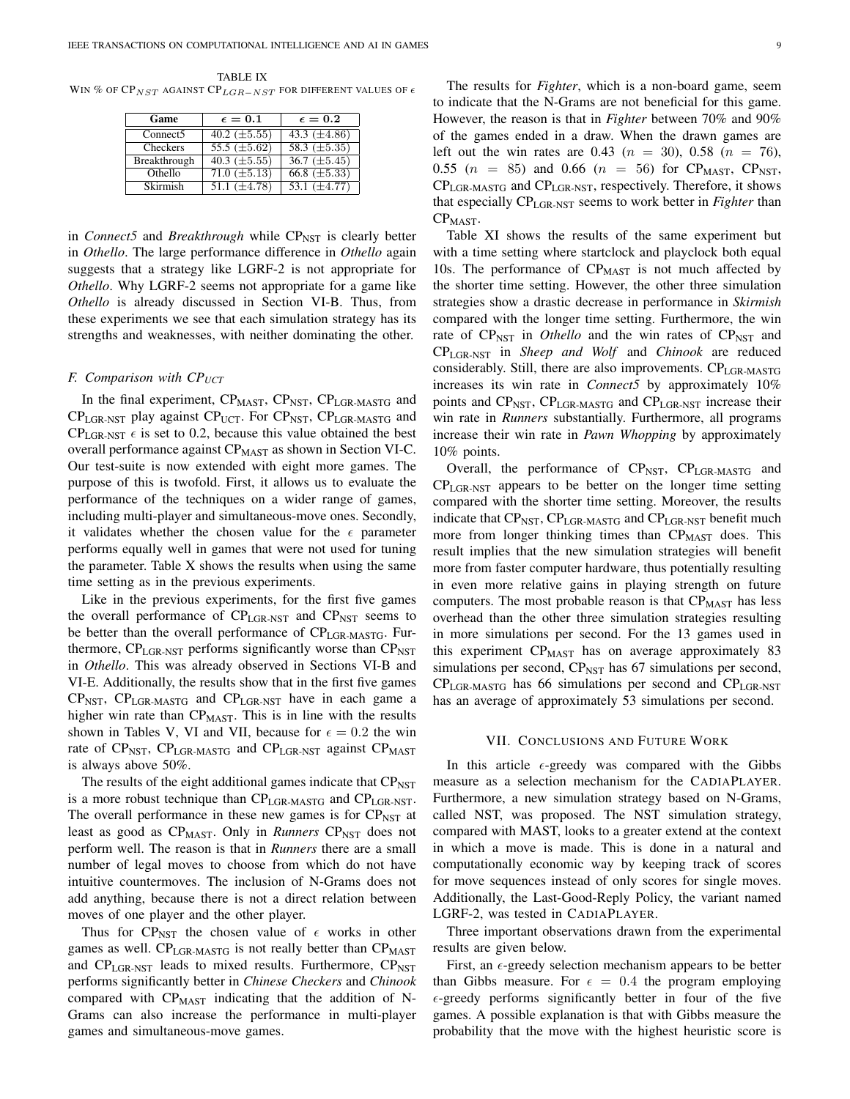TABLE IX WIN % OF CP*NST* AGAINST CP*LGR−NST* FOR DIFFERENT VALUES OF *ϵ*

| Game                 | $\epsilon=0.1$    | $\epsilon=0.2$      |
|----------------------|-------------------|---------------------|
| Connect <sub>5</sub> | 40.2 $(\pm 5.55)$ | 43.3 $(\pm 4.86)$   |
| Checkers             | 55.5 $(\pm 5.62)$ | $58.3 \ (\pm 5.35)$ |
| Breakthrough         | 40.3 $(\pm 5.55)$ | 36.7 $(\pm 5.45)$   |
| Othello              | 71.0 $(\pm 5.13)$ | 66.8 $(\pm 5.33)$   |
| Skirmish             | 51.1 $(\pm 4.78)$ | 53.1 $(\pm 4.77)$   |

in *Connect5* and *Breakthrough* while CP<sub>NST</sub> is clearly better in *Othello*. The large performance difference in *Othello* again suggests that a strategy like LGRF-2 is not appropriate for *Othello*. Why LGRF-2 seems not appropriate for a game like *Othello* is already discussed in Section VI-B. Thus, from these experiments we see that each simulation strategy has its strengths and weaknesses, with neither dominating the other.

#### *F. Comparison with CPUCT*

In the final experiment, CP<sub>MAST</sub>, CP<sub>NST</sub>, CP<sub>LGR-MASTG</sub> and  $CP_{LGR-NST}$  play against  $CP_{UCT}$ . For  $CP_{SST}$ ,  $CP_{LGR-MASTG}$  and CP<sub>LGR-NST</sub>  $\epsilon$  is set to 0.2, because this value obtained the best overall performance against  $CP_{\text{MAST}}$  as shown in Section VI-C. Our test-suite is now extended with eight more games. The purpose of this is twofold. First, it allows us to evaluate the performance of the techniques on a wider range of games, including multi-player and simultaneous-move ones. Secondly, it validates whether the chosen value for the  $\epsilon$  parameter performs equally well in games that were not used for tuning the parameter. Table X shows the results when using the same time setting as in the previous experiments.

Like in the previous experiments, for the first five games the overall performance of CP<sub>LGR-NST</sub> and CP<sub>NST</sub> seems to be better than the overall performance of CP<sub>LGR-MASTG</sub>. Furthermore,  $CP_{LGR-NST}$  performs significantly worse than  $CP_{NST}$ in *Othello*. This was already observed in Sections VI-B and VI-E. Additionally, the results show that in the first five games  $CP<sub>NST</sub>$ ,  $CP<sub>LGR-MASTG</sub>$  and  $CP<sub>LGR-NST</sub>$  have in each game a higher win rate than  $CP_{MAXT}$ . This is in line with the results shown in Tables V, VI and VII, because for  $\epsilon = 0.2$  the win rate of  $CP<sub>NST</sub>$ ,  $CP<sub>LGR-MASTG</sub>$  and  $CP<sub>LGR-NST</sub>$  against  $CP<sub>MAST</sub>$ is always above 50%.

The results of the eight additional games indicate that  $CP<sub>NST</sub>$ is a more robust technique than CPLGR-MASTG and CPLGR-NST. The overall performance in these new games is for  $CP<sub>NST</sub>$  at least as good as CP<sub>MAST</sub>. Only in *Runners* CP<sub>NST</sub> does not perform well. The reason is that in *Runners* there are a small number of legal moves to choose from which do not have intuitive countermoves. The inclusion of N-Grams does not add anything, because there is not a direct relation between moves of one player and the other player.

Thus for  $CP_{\text{NST}}$  the chosen value of  $\epsilon$  works in other games as well.  $CP_{LGR\text{-}MASTG}$  is not really better than  $CP_{MAST}$ and  $CP_{LGR-NST}$  leads to mixed results. Furthermore,  $CP_{NST}$ performs significantly better in *Chinese Checkers* and *Chinook* compared with  $CP_{MAXT}$  indicating that the addition of N-Grams can also increase the performance in multi-player games and simultaneous-move games.

The results for *Fighter*, which is a non-board game, seem to indicate that the N-Grams are not beneficial for this game. However, the reason is that in *Fighter* between 70% and 90% of the games ended in a draw. When the drawn games are left out the win rates are 0.43 (*n* = 30), 0.58 (*n* = 76), 0.55 ( $n = 85$ ) and 0.66 ( $n = 56$ ) for CP<sub>MAST</sub>, CP<sub>NST</sub>,  $CP_{LGR\text{-}MASTG}$  and  $CP_{LGR\text{-}NST}$ , respectively. Therefore, it shows that especially CPLGR-NST seems to work better in *Fighter* than  $CP<sub>MAST</sub>$ .

Table XI shows the results of the same experiment but with a time setting where startclock and playclock both equal 10s. The performance of  $CP_{MAXT}$  is not much affected by the shorter time setting. However, the other three simulation strategies show a drastic decrease in performance in *Skirmish* compared with the longer time setting. Furthermore, the win rate of CP<sub>NST</sub> in *Othello* and the win rates of CP<sub>NST</sub> and CPLGR-NST in *Sheep and Wolf* and *Chinook* are reduced considerably. Still, there are also improvements.  $CP_{LGR\text{-}MASTG}$ increases its win rate in *Connect5* by approximately 10% points and  $CP<sub>NST</sub>$ ,  $CP<sub>LGR-MASTG</sub>$  and  $CP<sub>LGR-NST</sub>$  increase their win rate in *Runners* substantially. Furthermore, all programs increase their win rate in *Pawn Whopping* by approximately 10% points.

Overall, the performance of  $CP<sub>NST</sub>$ ,  $CP<sub>LGR-MAXTG</sub>$  and  $CP_{LGR-NST}$  appears to be better on the longer time setting compared with the shorter time setting. Moreover, the results indicate that CP<sub>NST</sub>, CP<sub>LGR-MASTG</sub> and CP<sub>LGR-NST</sub> benefit much more from longer thinking times than  $CP<sub>MAXT</sub>$  does. This result implies that the new simulation strategies will benefit more from faster computer hardware, thus potentially resulting in even more relative gains in playing strength on future computers. The most probable reason is that CP<sub>MAST</sub> has less overhead than the other three simulation strategies resulting in more simulations per second. For the 13 games used in this experiment  $CP_{\text{MAST}}$  has on average approximately 83 simulations per second, CP<sub>NST</sub> has 67 simulations per second, CPLGR-MASTG has 66 simulations per second and CPLGR-NST has an average of approximately 53 simulations per second.

#### VII. CONCLUSIONS AND FUTURE WORK

In this article *ϵ*-greedy was compared with the Gibbs measure as a selection mechanism for the CADIAPLAYER. Furthermore, a new simulation strategy based on N-Grams, called NST, was proposed. The NST simulation strategy, compared with MAST, looks to a greater extend at the context in which a move is made. This is done in a natural and computationally economic way by keeping track of scores for move sequences instead of only scores for single moves. Additionally, the Last-Good-Reply Policy, the variant named LGRF-2, was tested in CADIAPLAYER.

Three important observations drawn from the experimental results are given below.

First, an  $\epsilon$ -greedy selection mechanism appears to be better than Gibbs measure. For  $\epsilon = 0.4$  the program employing *ϵ*-greedy performs significantly better in four of the five games. A possible explanation is that with Gibbs measure the probability that the move with the highest heuristic score is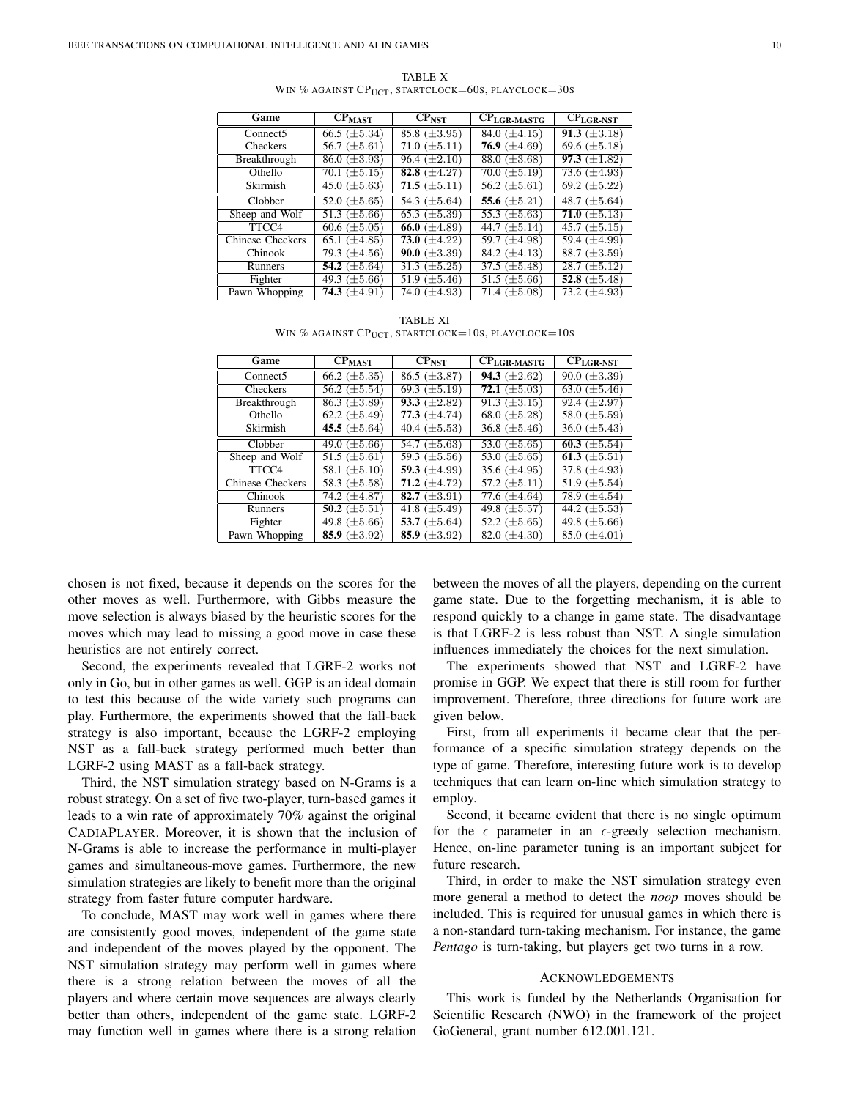| Game                    | CP <sub>MAST</sub> | CP <sub>NST</sub>        | $CP_{LGR\text{-}MASTG}$ | $CP_{LGR\text{-}\mathrm{NST}}$   |
|-------------------------|--------------------|--------------------------|-------------------------|----------------------------------|
| Connect <sub>5</sub>    | 66.5 $(\pm 5.34)$  | 85.8 $(\pm 3.95)$        | 84.0 $(\pm 4.15)$       | $91.3 \ (\pm 3.18)$              |
| Checkers                | 56.7 $(\pm 5.61)$  | $71.0 (\pm 5.11)$        | 76.9 $(\pm 4.69)$       | 69.6 $(\pm 5.18)$                |
| Breakthrough            | 86.0 $(\pm 3.93)$  | $96.4~(\pm 2.10)$        | 88.0 $(\pm 3.68)$       | 97.3 $(\pm 1.82)$                |
| Othello                 | 70.1 $(\pm 5.15)$  | 82.8 $(\pm 4.27)$        | 70.0 $(\pm 5.19)$       | 73.6 $(\pm 4.93)$                |
| Skirmish                | 45.0 $(\pm 5.63)$  | 71.5 $(\pm 5.11)$        | 56.2 $(\pm 5.61)$       | $69.2 (\pm 5.22)$                |
| Clobber                 | 52.0 $(\pm 5.65)$  | 54.3 $(\pm 5.64)$        | 55.6 $(\pm 5.21)$       | 48.7 $(\pm 5.64)$                |
| Sheep and Wolf          | 51.3 $(\pm 5.66)$  | 65.3 $(\pm 5.39)$        | 55.3 $(\pm 5.63)$       | 71.0 $(\pm 5.13)$                |
| TTCC4                   | 60.6 $(\pm 5.05)$  | 66.0 $(\pm 4.89)$        | 44.7 $(\pm 5.14)$       | 45.7 $(\pm 5.15)$                |
| <b>Chinese Checkers</b> | 65.1 $(\pm 4.85)$  | 73.0 $(\pm 4.22)$        | 59.7 $(\pm 4.98)$       | 59.4 $(\pm 4.99)$                |
| Chinook                 | 79.3 $(\pm 4.56)$  | <b>90.0</b> $(\pm 3.39)$ | 84.2 $(\pm 4.13)$       | 88.7 $(\pm 3.59)$                |
| <b>Runners</b>          | 54.2 $(\pm 5.64)$  | 31.3 $(\pm 5.25)$        | 37.5 $(\pm 5.48)$       | 28.7 $(\pm 5.12)$                |
| Fighter                 | 49.3 $(\pm 5.66)$  | 51.9 $(\pm 5.46)$        | 51.5 $(\pm 5.66)$       | 52.8 $(\pm 5.48)$                |
| Pawn Whopping           | 74.3 $(\pm 4.91)$  | 74.0 (±4.93)             | 71.4 $(\pm 5.08)$       | $\overline{73.2}$ ( $\pm 4.93$ ) |

TABLE X WIN % AGAINST CP<sub>UCT</sub>, STARTCLOCK=60S, PLAYCLOCK=30S

TABLE XI WIN % AGAINST CP<sub>UCT</sub>, STARTCLOCK=10S, PLAYCLOCK=10S

| Game                    | $CP_{MAST}$         | CP <sub>NST</sub>   | $CP_{LGR\text{-}MASTG}$        | $CP_{LGR\text{-}NST}$        |
|-------------------------|---------------------|---------------------|--------------------------------|------------------------------|
| Connect <sub>5</sub>    | 66.2 $(\pm 5.35)$   | $86.5 (\pm 3.87)$   | 94.3 $(\pm 2.62)$              | $90.0 \ (\pm 3.39)$          |
| <b>Checkers</b>         | 56.2 $(\pm 5.54)$   | 69.3 $(\pm 5.19)$   | $72.1 (\pm 5.03)$              | 63.0 $(\pm 5.46)$            |
| Breakthrough            | $86.3 \ (\pm 3.89)$ | $93.3 \ (\pm 2.82)$ | $91.3 \ (\pm 3.15)$            | $92.4 \ (\pm 2.97)$          |
| Othello                 | 62.2 $(\pm 5.49)$   | $77.3 (\pm 4.74)$   | 68.0 $(\pm 5.28)$              | 58.0 $(\pm 5.59)$            |
| <b>Skirmish</b>         | 45.5 $(\pm 5.64)$   | 40.4 $(\pm 5.53)$   | 36.8 $(\pm 5.46)$              | 36.0 $(\pm 5.43)$            |
| Clobber                 | 49.0 $(\pm 5.66)$   | 54.7 $(\pm 5.63)$   | 53.0 $(\pm 5.65)$              | 60.3 $(\pm 5.54)$            |
| Sheep and Wolf          | 51.5 $(\pm 5.61)$   | 59.3 $(\pm 5.56)$   | 53.0 $(\pm 5.65)$              | $\overline{61.3} (\pm 5.51)$ |
| TTCC4                   | 58.1 $(\pm 5.10)$   | 59.3 $(\pm 4.99)$   | $35.6 \ (\pm 4.95)$            | 37.8 $(\pm 4.93)$            |
| <b>Chinese Checkers</b> | 58.3 $(\pm 5.58)$   | $71.2 (\pm 4.72)$   | $57.2 (\pm 5.11)$              | 51.9 $(\pm 5.54)$            |
| Chinook                 | 74.2 $(\pm 4.87)$   | 82.7 $(\pm 3.91)$   | 77.6 $(\pm 4.64)$              | 78.9 $(\pm 4.54)$            |
| Runners                 | 50.2 $(\pm 5.51)$   | 41.8 $(\pm 5.49)$   | 49.8 $(\pm 5.57)$              | 44.2 $(\pm 5.53)$            |
| Fighter                 | 49.8 $(\pm 5.66)$   | 53.7 $(\pm 5.64)$   | $\overline{52.2 \ (\pm 5.65)}$ | 49.8 $(\pm 5.66)$            |
| Pawn Whopping           | 85.9 $(\pm 3.92)$   | 85.9 $(\pm 3.92)$   | $82.0~(\pm 4.30)$              | 85.0 $(\pm 4.01)$            |

chosen is not fixed, because it depends on the scores for the other moves as well. Furthermore, with Gibbs measure the move selection is always biased by the heuristic scores for the moves which may lead to missing a good move in case these heuristics are not entirely correct.

Second, the experiments revealed that LGRF-2 works not only in Go, but in other games as well. GGP is an ideal domain to test this because of the wide variety such programs can play. Furthermore, the experiments showed that the fall-back strategy is also important, because the LGRF-2 employing NST as a fall-back strategy performed much better than LGRF-2 using MAST as a fall-back strategy.

Third, the NST simulation strategy based on N-Grams is a robust strategy. On a set of five two-player, turn-based games it leads to a win rate of approximately 70% against the original CADIAPLAYER. Moreover, it is shown that the inclusion of N-Grams is able to increase the performance in multi-player games and simultaneous-move games. Furthermore, the new simulation strategies are likely to benefit more than the original strategy from faster future computer hardware.

To conclude, MAST may work well in games where there are consistently good moves, independent of the game state and independent of the moves played by the opponent. The NST simulation strategy may perform well in games where there is a strong relation between the moves of all the players and where certain move sequences are always clearly better than others, independent of the game state. LGRF-2 may function well in games where there is a strong relation between the moves of all the players, depending on the current game state. Due to the forgetting mechanism, it is able to respond quickly to a change in game state. The disadvantage is that LGRF-2 is less robust than NST. A single simulation influences immediately the choices for the next simulation.

The experiments showed that NST and LGRF-2 have promise in GGP. We expect that there is still room for further improvement. Therefore, three directions for future work are given below.

First, from all experiments it became clear that the performance of a specific simulation strategy depends on the type of game. Therefore, interesting future work is to develop techniques that can learn on-line which simulation strategy to employ.

Second, it became evident that there is no single optimum for the  $\epsilon$  parameter in an  $\epsilon$ -greedy selection mechanism. Hence, on-line parameter tuning is an important subject for future research.

Third, in order to make the NST simulation strategy even more general a method to detect the *noop* moves should be included. This is required for unusual games in which there is a non-standard turn-taking mechanism. For instance, the game *Pentago* is turn-taking, but players get two turns in a row.

#### ACKNOWLEDGEMENTS

This work is funded by the Netherlands Organisation for Scientific Research (NWO) in the framework of the project GoGeneral, grant number 612.001.121.